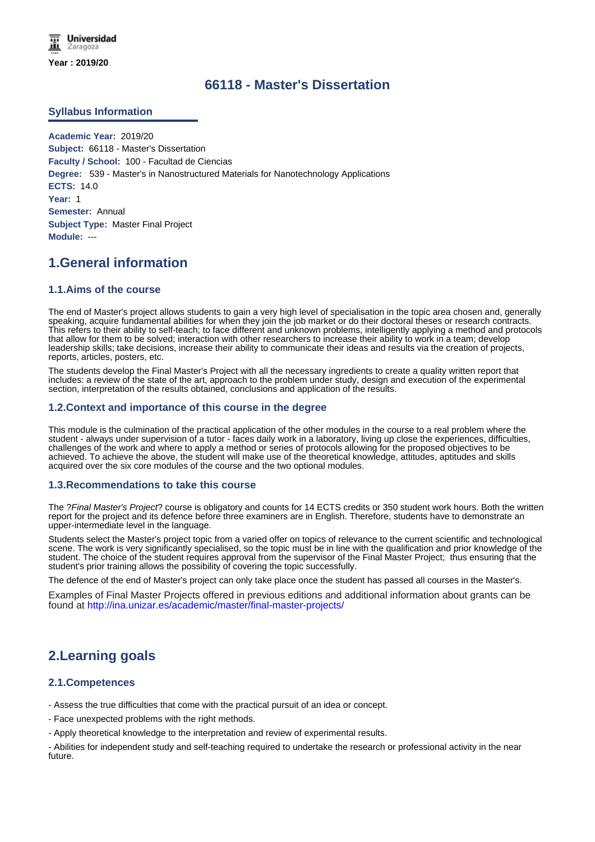# **66118 - Master's Dissertation**

## **Syllabus Information**

**Academic Year:** 2019/20 **Subject:** 66118 - Master's Dissertation **Faculty / School:** 100 - Facultad de Ciencias **Degree:** 539 - Master's in Nanostructured Materials for Nanotechnology Applications **ECTS:** 14.0 **Year:** 1 **Semester:** Annual **Subject Type:** Master Final Project **Module:** ---

# **1.General information**

## **1.1.Aims of the course**

The end of Master's project allows students to gain a very high level of specialisation in the topic area chosen and, generally speaking, acquire fundamental abilities for when they join the job market or do their doctoral theses or research contracts. This refers to their ability to self-teach; to face different and unknown problems, intelligently applying a method and protocols that allow for them to be solved; interaction with other researchers to increase their ability to work in a team; develop leadership skills; take decisions, increase their ability to communicate their ideas and results via the creation of projects, reports, articles, posters, etc.

The students develop the Final Master's Project with all the necessary ingredients to create a quality written report that includes: a review of the state of the art, approach to the problem under study, design and execution of the experimental section, interpretation of the results obtained, conclusions and application of the results.

#### **1.2.Context and importance of this course in the degree**

This module is the culmination of the practical application of the other modules in the course to a real problem where the student - always under supervision of a tutor - faces daily work in a laboratory, living up close the experiences, difficulties, challenges of the work and where to apply a method or series of protocols allowing for the proposed objectives to be achieved. To achieve the above, the student will make use of the theoretical knowledge, attitudes, aptitudes and skills acquired over the six core modules of the course and the two optional modules.

#### **1.3.Recommendations to take this course**

The ?*Final Master's Project*? course is obligatory and counts for 14 ECTS credits or 350 student work hours. Both the written report for the project and its defence before three examiners are in English. Therefore, students have to demonstrate an upper-intermediate level in the language.

Students select the Master's project topic from a varied offer on topics of relevance to the current scientific and technological scene. The work is very significantly specialised, so the topic must be in line with the qualification and prior knowledge of the student. The choice of the student requires approval from the supervisor of the Final Master Project; thus ensuring that the student's prior training allows the possibility of covering the topic successfully.

The defence of the end of Master's project can only take place once the student has passed all courses in the Master's.

Examples of Final Master Projects offered in previous editions and additional information about grants can be found at http://ina.unizar.es/academic/master/final-master-projects/

# **2.Learning goals**

## **2.1.Competences**

- Assess the true difficulties that come with the practical pursuit of an idea or concept.

- Face unexpected problems with the right methods.

- Apply theoretical knowledge to the interpretation and review of experimental results.

- Abilities for independent study and self-teaching required to undertake the research or professional activity in the near future.